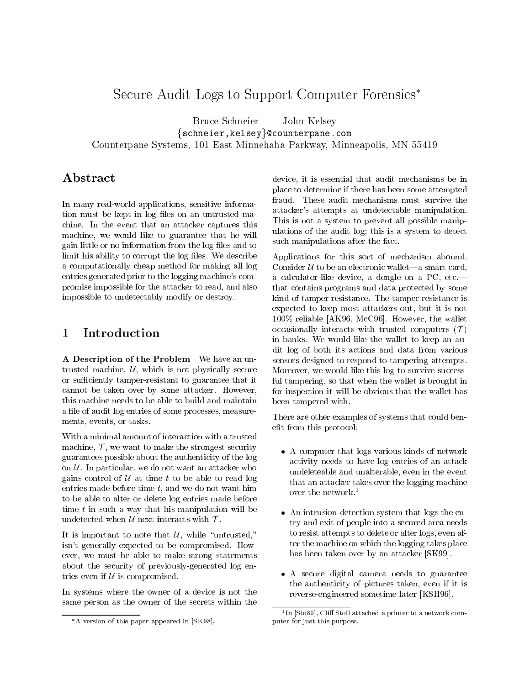# Secure Audit Logs to Support Computer Forensics

Bruce Schneier John Kelsey  $\{schneier,keley\}$ @counterpane.com Counterpane Systems, 101 East Minnehaha Parkway, Minneapolis, MN <sup>55419</sup>

In many real-world applications, sensitive information must be kept in log files on an untrusted machine. In the event that an attacker captures this machine, we would like to guarantee that he will gain little or no information from the log files and to limit his ability to corrupt the log files. We describe a computationally cheap method for making all log entries generated prior to the logging machine's compromise impossible for the attacker to read, and also impossible to undetectably modify or destroy.

## $\mathbf{1}$

A Description of the Problem We have an untrusted machine,  $U$ , which is not physically secure or sufficiently tamper-resistant to guarantee that it cannot be taken over by some attacker. However, this machine needs to be able to build and maintain a file of audit log entries of some processes, measurements, events, or tasks.

With a minimal amount of interaction with a trusted machine,  $\mathcal{T}$ , we want to make the strongest security guarantees possible about the authenticity of the log on  $\mathcal U$ . In particular, we do not want an attacker who gains control of  $U$  at time t to be able to read log entries made before time  $t$ , and we do not want him to be able to alter or delete log entries made before time  $t$  in such a way that his manipulation will be undetected when  $\mathcal U$  next interacts with  $\mathcal T$ .

It is important to note that  $\mathcal{U}$ , while "untrusted," isn't generally expected to be compromised. How ever, we must be able to make strong statements about the security of previously-generated log entries even if  $U$  is compromised.

In systems where the owner of a device is not the same person as the owner of the secrets within the device, it is essential that audit mechanisms be in place to determine if there has been some attempted fraud. These audit mechanisms must survive the attacker's attempts at undetectable manipulation. This is not a system to prevent all possible manipulations of the audit log; this is a system to detect such manipulations after the fact.

Applications for this sort of mechanism abound. Consider  $U$  to be an electronic wallet—a smart card, a calculator-like device, a dongle on a  $PC$ , etc. $$ that contains programs and data protected by some kind of tamper resistance. The tamper resistance is expected to keep most attackers out, but it is not 100% reliable [AK96, McC96]. However, the wallet occasionally interacts with trusted computers  $(\mathcal{T})$ in banks. We would like the wallet to keep an audit log of both its actions and data from various sensors designed to respond to tampering attempts. Moreover, we would like this log to survive successful tampering, so that when the wallet is brought in for inspection it will be obvious that the wallet has been tampered with.

There are other examples of systems that could benefit from this protocol:

- A computer that logs various kinds of network activity needs to have log entries of an attack undeleteable and unalterable, even in the event that an attacker takes over the logging machine over the network.1
- An intrusion-detection system that logs the entry and exit of people into a secured area needs to resist attempts to delete or alter logs, even after the machine on which the logging takes place has been taken over by an attacker [SK99].
- A secure digital camera needs to guarantee the authenticity of pictures taken, even if it is reverse-engineered sometime later [KSH96].

A version of this paper appeared in [SK98].

<sup>1</sup> In [Sto89], Cli Stoll attached a printer to a network computer for just this purpose.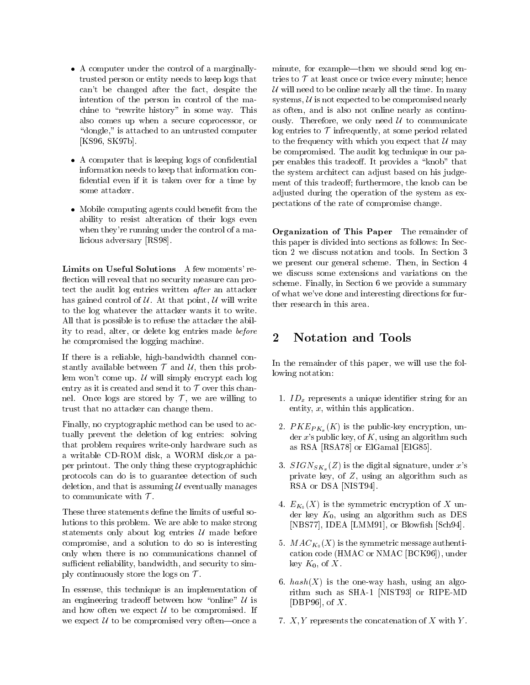- A computer under the control of a marginallytrusted person or entity needs to keep logs that can't be changed after the fact, despite the intention of the person in control of the machine to "rewrite history" in some way. This also comes up when a secure coprocessor, or " $\alpha$  dongle," is attached to an untrusted computer [KS96, SK97b].
- A computer that is keeping logs of confidential information needs to keep that information con fidential even if it is taken over for a time by some attacker.
- Mobile computing agents could benefit from the ability to resist alteration of their logs even when they're running under the control of a malicious adversary [RS98].

Limits on Useful Solutions A few moments' re flection will reveal that no security measure can protect the audit log entries written *after* an attacker has gained control of  $U$ . At that point,  $U$  will write to the log whatever the attacker wants it to write. All that is possible is to refuse the attacker the ability to read, alter, or delete log entries made *before*<br>becompromised the logging mashine he compromised the logging machine.

If there is a reliable, high-bandwidth channel constantly available between  $\mathcal T$  and  $\mathcal U$ , then this problem won't come up.  $\mathcal U$  will simply encrypt each log entry as it is created and send it to  $\mathcal T$  over this channel. Once logs are stored by  $\mathcal{T}$ , we are willing to trust that no attacker can change them.

Finally, no cryptographic method can be used to actually prevent the deletion of log entries: solving that problem requires write-only hardware such as a writable CD-ROM disk, a WORM disk,or a paper printout. The only thing these cryptographichic protocols can do is to guarantee detection of such deletion, and that is assuming  $U$  eventually manages to communicate with  $\mathcal T$ .

These three statements define the limits of useful solutions to this problem. We are able to make strong statements only about  $log$  entries  $U$  made before compromise, and a solution to do so is interesting only when there is no communications channel of sufficient reliability, bandwidth, and security to simply continuously store the logs on  $\mathcal{T}$ .

In essense, this technique is an implementation of an engineering tradeoff between how "online"  $U$  is and how often we expect  $\mathcal U$  to be compromised. If we expect  $\mathcal U$  to be compromised very often—once a minute, for example—then we should send log entries to  $\mathcal T$  at least once or twice every minute; hence  $U$  will need to be online nearly all the time. In many systems,  $U$  is not expected to be compromised nearly as often, and is also not online nearly as continuously. Therefore, we only need  $\mathcal U$  to communicate log entries to  $\mathcal T$  infrequently, at some period related to the frequency with which you expect that  $\mathcal U$  may be compromised. The audit log technique in our paper enables this tradeoff. It provides a "knob" that the system architect can adjust based on his judgement of this tradeoff; furthermore, the knob can be adjusted during the operation of the system as expectations of the rate of compromise change.

Organization of This Paper The remainder of this paper is divided into sections as follows: In Section 2 we discuss notation and tools. In Section 3 we present our general scheme. Then, in Section 4 we discuss some extensions and variations on the scheme. Finally, in Section 6 we provide a summary of what we've done and interesting directions for further research in this area.

## Notation and Tools

In the remainder of this paper, we will use the following notation:

- 1.  $ID_x$  represents a unique identifier string for an entity, x, within this application.
- 2.  $PKE_{PK_x}(K)$  is the public-key encryption, under  $x$ 's public key, of  $K$ , using an algorithm such as RSA [RSA78] or ElGamal [ElG85].
- 3.  $SIGN_{SK_x}(Z)$  is the digital signature, under x's private key, of Z, using an algorithm such as RSA or DSA [NIST94].
- 4.  $E_{K_0}(X)$  is the symmetric encryption of X under key  $K_0$ , using an algorithm such as DES [NBS77], IDEA [LMM91], or Blowfish [Sch94].
- 5.  $MAC_{K_0}(X)$  is the symmetric message authentication code (HMAC or NMAC [BCK96]), under key  $K_0$ , of X.
- 6.  $hash(X)$  is the one-way hash, using an algorithm such as SHA-1 [NIST93] or RIPE-MD [DBP96], of  $X$ .
- 7.  $X, Y$  represents the concatenation of X with Y.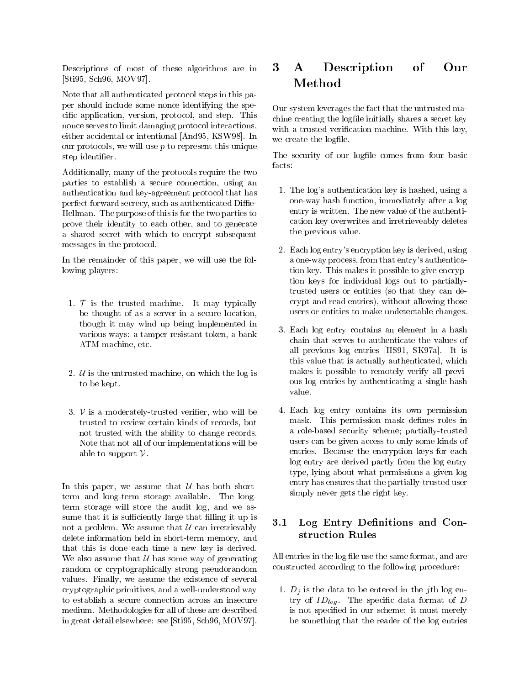Descriptions of most of these algorithms are in [Sti95, Sch96, MOV97].

Note that all authenticated protocol steps in this paper should include some nonce identifying the specific application, version, protocol, and step. This nonce serves to limit damaging protocol interactions, either accidental or intentional [And95, KSW98]. In our protocols, we will use  $p$  to represent this unique step identifier.

Additionally, many of the protocols require the two parties to establish a secure connection, using an authentication and key-agreement protocol that has perfect forward secrecy, such as authenticated Diffie-Hellman. The purpose of this is for the two parties to prove their identity to each other, and to generate a shared secret with which to encrypt subsequent messages in the protocol.

In the remainder of this paper, we will use the following players:

- 1.  $\mathcal T$  is the trusted machine. It may typically be thought of as a server in a secure location, though it may wind up being implemented in various ways: a tamper-resistant token, a bank ATM machine, etc.
- 2.  $U$  is the untrusted machine, on which the log is to be kept.
- 3.  $V$  is a moderately-trusted verifier, who will be trusted to review certain kinds of records, but not trusted with the ability to change records. Note that not all of our implementations will be able to support  $\mathcal V$ .

In this paper, we assume that  $U$  has both shortterm and long-term storage available. The longterm storage will store the audit log, and we assume that it is sufficiently large that filling it up is  $3.1$ not a problem. We assume that  $U$  can irretrievably delete information held in short-term memory, and that this is done each time a new key is derived. We also assume that  $U$  has some way of generating random or cryptographically strong pseudorandom values. Finally, we assume the existence of several cryptographic primitives, and a well-understood way to establish a secure connection across an insecure medium. Methodologies for all of these are described in great detail elsewhere: see [Sti95, Sch96, MOV97].

#### 3 Description of Our  $\bf{A}$ **Method**

Our system leverages the fact that the untrusted machine creating the logfile initially shares a secret key with a trusted verification machine. With this key, we create the logfile.

The security of our logfile comes from four basic facts:

- 1. The log's authentication key is hashed, using a one-way hash function, immediately after a log entry is written. The new value of the authentication key overwrites and irretrieveably deletes the previous value.
- 2. Each log entry's encryption key is derived, using a one-way process, from that entry's authentication key. This makes it possible to give encryption keys for individual logs out to partiallytrusted users or entities (so that they can decrypt and read entries), without allowing those users or entities to make undetectable changes.
- 3. Each log entry contains an element in a hash chain that serves to authenticate the values of all previous log entries [HS91, SK97a]. It is this value that is actually authenticated, which makes it possible to remotely verify all previous log entries by authenticating a single hash value.
- 4. Each log entry contains its own permission mask. This permission mask defines roles in a role-based security scheme; partially-trusted users can be given access to only some kinds of entries. Because the encryption keys for each log entry are derived partly from the log entry type, lying about what permissions a given log entry has ensures that the partially-trusted user simply never gets the right key.

## Log Entry Definitions and Construction Rules

All entries in the log file use the same format, and are constructed according to the following procedure:

1.  $D_i$  is the data to be entered in the j<sup>th</sup> log entry of  $ID_{log}$ . The specific data format of D is not specified in our scheme: it must merely be something that the reader of the log entries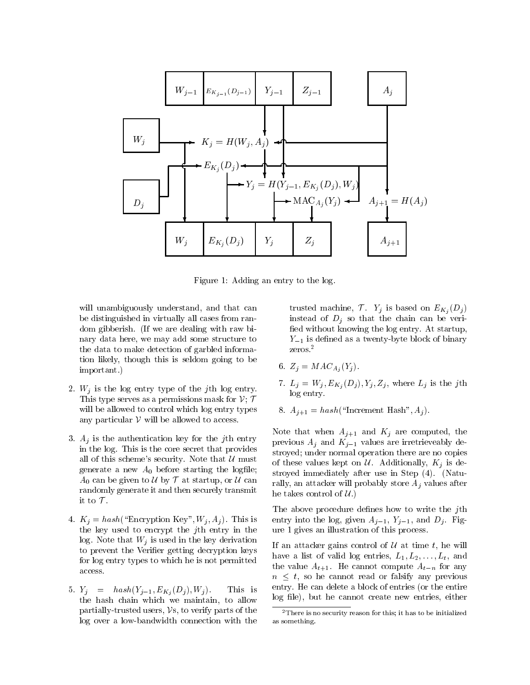

Figure 1: Adding an entry to the log.

will unambiguously understand, and that can be distinguished in virtually all cases from random gibberish. (If we are dealing with raw binary data here, we may add some structure to the data to make detection of garbled information likely, though this is seldom going to be important.)

- 2.  $W_j$  is the log entry type of the jth log entry. This type serves as a permissions mask for  $V$ ;  $T$ will be allowed to control which log entry types any particular  $V$  will be allowed to access.
- 3.  $A_i$  is the authentication key for the jth entry in the log. This is the core secret that provides all of this scheme's security. Note that  $\mathcal U$  must generate a new  $A_0$  before starting the logfile;  $A_0$  can be given to  $\mathcal U$  by  $\mathcal T$  at startup, or  $\mathcal U$  can randomly generate it and then securely transmit it to  $\mathcal T$ .
- 4.  $K_j = hash("Encryption Key", W_j, A_j)$ . This is the key used to encrypt the jth entry in the log. Note that  $W_i$  is used in the key derivation to prevent the Verifier getting decryption keys for log entry types to which he is not permitted access.
- 5.  $Y_i = hash(Y_{i-1}, E_{K_i}(D_i), W_i)$ . This is the hash chain which we maintain, to allow partially-trusted users,  $\mathcal{V}$ s, to verify parts of the log over a low-bandwidth connection with the

trusted machine,  $\mathcal{T}$ .  $Y_j$  is based on  $E_{K_j}(D_j)$ instead of  $D_j$  so that the chain can be verified without knowing the log entry. At startup,  $Y_{-1}$  is defined as a twenty-byte block of binary zeros.2

- 6.  $Z_j = MAC_{A_j}(Y_j)$ .
- 7.  $L_j = W_j, E_{K_j}(D_j), Y_j, Z_j$ , where  $L_j$  is the jth log entry.
- 8.  $A_{i+1} = hash("Increment Hash", A_i ).$

Note that when  $A_{j+1}$  and  $K_j$  are computed, the previous  $A_j$  and  $K_{j-1}$  values are irretrieveably destroyed; under normal operation there are no copies of these values kept on  $\mathcal U$ . Additionally,  $K_i$  is destroyed immediately after use in Step  $(4)$ . (Naturally, an attacker will probably store  $A_j$  values after he takes control of  $U$ .)

The above procedure defines how to write the  $j$ th entry into the log, given  $A_{j-1}$ ,  $Y_{j-1}$ , and  $D_j$ . Figure 1 gives an illustration of this process.

If an attacker gains control of  $\mathcal U$  at time t, he will have a list of valid log entries,  $L_1, L_2, \ldots, L_t$ , and the value  $A_{t+1}$ . He cannot compute  $A_{t-n}$  for any  $n \leq t$ , so he cannot read or falsify any previous entry. He can delete a block of entries (or the entire log file), but he cannot create new entries, either

<sup>2</sup>There is no security reason for this; it has to be initialized as something.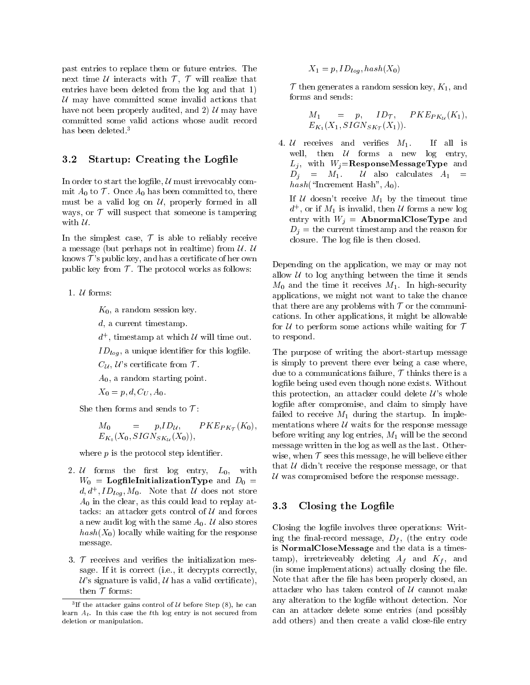past entries to replace them or future entries. The next time  $U$  interacts with  $T$ ,  $T$  will realize that entries have been deleted from the log and that 1)  $U$  may have committed some invalid actions that have not been properly audited, and 2)  $\mathcal{U}$  may have committed some valid actions whose audit record has been deleted.3

### 3.2 Startup: Creating the Logfile

In order to start the logfile,  $U$  must irrevocably commit  $A_0$  to  $\mathcal T$ . Once  $A_0$  has been committed to, there must be a valid log on  $U$ , properly formed in all ways, or  $\mathcal T$  will suspect that someone is tampering with  $\mathcal U$ .

In the simplest case,  $\mathcal T$  is able to reliably receive a message (but perhaps not in realtime) from  $\mathcal U$ .  $\mathcal U$ knows  $\mathcal{T}'$ 's public key, and has a certificate of her own public key from  $\mathcal T$ . The protocol works as follows:

1.  $U$  forms:

 $K_0$ , a random session key.

d, a current timestamp.

- $a_{-}$ , timestamp at which  $\alpha$  will time out.
- $ID_{log}$ , a unique identifier for this logfile.

 $C_{\mathcal{U}},\mathcal{U}$ 's certificate from  $\mathcal{T}$ .

 $A_0$ , a random starting point.

 $X_0 = p, d, C_U, A_0.$ 

She then forms and sends to  $\mathcal{T}$ :

$$
M_0 = p, ID_{\mathcal{U}}, \quad PKE_{PK_{\mathcal{T}}}(K_0), \quad {}^{1}_{1}
$$
  

$$
E_{K_0}(X_0, SIGN_{SK_{\mathcal{U}}}(X_0)), \quad {}^{1}_{1}
$$

where  $p$  is the protocol step identifier.

- 2.  $U$  forms the first  $log$  entry,  $L_0$ , with  $W_0$  = LogfileInitializationType and  $D_0$  =  $a, a$ ,  $I D_{log}, M_0$ . Note that  $U$  does not store  $A_0$  in the clear, as this could lead to replay attacks: an attacker gets control of  $U$  and forces a new audit log with the same  $A_0$ . U also stores  $hash(X_0)$  locally while waiting for the response message.
- 3.  $\mathcal T$  receives and verifies the initialization message. If it is correct (i.e., it decrypts correctly,  $\mathcal{U}$ 's signature is valid,  $\mathcal{U}$  has a valid certificate), then  $\mathcal T$  forms:

$$
X_1 = p, ID_{log}, hash(X_0)
$$

 $\mathcal T$  then generates a random session key,  $K_1$ , and

$$
M_1 = p, ID_{\mathcal{T}}, PKE_{PKu}(K_1),
$$
  

$$
E_{K_1}(X_1, SIGN_{SK_{\mathcal{T}}}(X_1)).
$$

4. *U* receives and verifies  $M_1$ . If all is well, then  $U$  forms a new log entry,  $L_j$ , with  $W_j =$ **ResponseMessageType** and  $D_j = M_1$ . U also calculates  $A_1$  =  $hash("Increment Hash", A_0).$ 

If U doesn't receive  $M_1$  by the timeout time  $a_{\perp}$ , or if  $M_1$  is invalid, then  $u$  forms a new log entry with  $W_j =$  **AbnormalCloseType** and  $D_i$  = the current timestamp and the reason for closure. The log file is then closed.

Depending on the application, we may or may not allow  $U$  to log anything between the time it sends  $M_0$  and the time it receives  $M_1$ . In high-security applications, we might not want to take the chance that there are any problems with  $T$  or the communications. In other applications, it might be allowable for  $U$  to perform some actions while waiting for  $T$ to respond.

The purpose of writing the abort-startup message is simply to prevent there ever being a case where, due to a communications failure,  $\mathcal T$  thinks there is a logfile being used even though none exists. Without this protection, an attacker could delete  $\mathcal{U}$ 's whole logfile after compromise, and claim to simply have failed to receive  $M_1$  during the startup. In implementations where  $U$  waits for the response message before writing any log entries,  $M_1$  will be the second message written in the log as well as the last. Otherwise, when  $\mathcal T$  sees this message, he will believe either that  $U$  didn't receive the response message, or that  $U$  was compromised before the response message.

#### 3.3 Closing the Logfile

Closing the logfile involves three operations: Writing the final-record message,  $D_f$ , (the entry code is NormalCloseMessage and the data is a times- $\tanh$ , irretrieveably deleting  $A_f$  and  $K_f$ , and (in some implementations) actually closing the file. Note that after the file has been properly closed, an attacker who has taken control of  $U$  cannot make any alteration to the logfile without detection. Nor can an attacker delete some entries (and possibly add others) and then create a valid close-file entry

If the attacker gains control of  $U$  before Step (8), he can learn  $A_t$ . In this case the tth log entry is not secured from deletion or manipulation.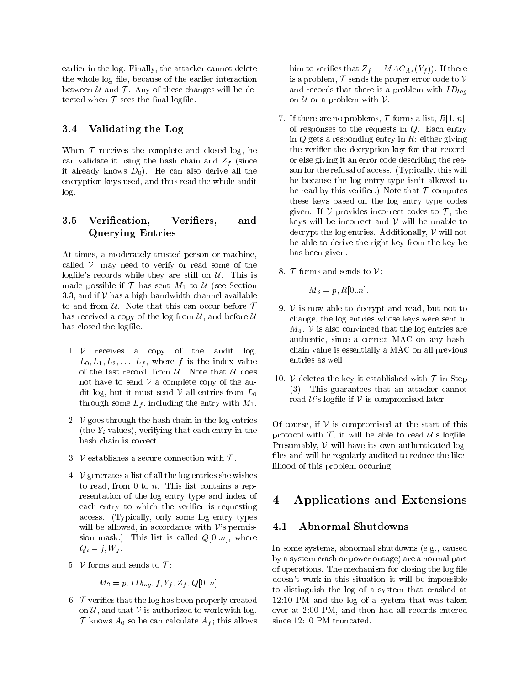earlier in the log. Finally, the attacker cannot delete the whole log file, because of the earlier interaction between  $U$  and  $T$ . Any of these changes will be detected when  $T$  sees the final logfile.

### 3.4 Validating the Log

When  $\mathcal T$  receives the complete and closed log, he can validate it using the hash chain and  $Z_f$  (since it already knows  $D_0$ . He can also derive all the encryption keys used, and thus read the whole audit log.

#### 3.5 Verification, Verifiers, and Querying Entries

At times, a moderately-trusted person or machine, called  $V$ , may need to verify or read some of the logfile's records while they are still on  $U$ . This is made possible if  $\mathcal T$  has sent  $M_1$  to  $\mathcal U$  (see Section 3.3, and if  $V$  has a high-bandwidth channel available to and from  $U$ . Note that this can occur before  $T$ has received a copy of the log from  $\mathcal{U}$ , and before  $\mathcal{U}$ has closed the logfile.

- 1.  $V$  receives a copy of the audit log,  $L_0, L_1, L_2, \ldots, L_f$ , where f is the index value of the last record, from  $U$ . Note that  $U$  does not have to send  $V$  a complete copy of the audit log, but it must send  $V$  all entries from  $L_0$ through some  $L_f$ , including the entry with  $M_1$ .<br>2.  $\mathcal V$  goes through the hash chain in the log entries
- (the  $Y_i$  values), verifying that each entry in the hash chain is correct.
- 3. V establishes a secure connection with  $\mathcal T$ .
- 4.  $\nu$  generates a list of all the log entries she wishes to read, from 0 to  $n$ . This list contains a representation of the log entry type and index of 4 each entry to which the verifier is requesting access. (Typically, only some log entry types will be allowed, in accordance with  $\mathcal{V}$ 's permission mask.) This list is called  $Q[0..n]$ , where  $Q_i = j, W_j$ .
- 5.  $V$  forms and sends to  $T$ :

$$
M_2 = p, ID_{log}, f, Y_f, Z_f, Q[0..n].
$$

6.  $\tau$  verifies that the log has been properly created on  $\mathcal{U}$ , and that  $\mathcal{V}$  is authorized to work with log.  $\mathcal T$  knows  $A_0$  so he can calculate  $A_f$ ; this allows him to verifies that  $Z_f = MAC_{A_f}(Y_f)$ . If there is a problem,  $\mathcal T$  sends the proper error code to  $\mathcal V$ and records that there is a problem with  $ID_{log}$ on  $U$  or a problem with  $V$ .

- 7. If there are no problems,  $\mathcal T$  forms a list,  $R[1..n]$ , of responses to the requests in  $Q$ . Each entry in  $Q$  gets a responding entry in  $R$ : either giving the verifier the decryption key for that record, or else giving it an error code describing the reason for the refusal of access. (Typically, this will be because the log entry type isn't allowed to be read by this verifier.) Note that  $\mathcal T$  computes these keys based on the log entry type codes given. If V provides incorrect codes to  $\mathcal{T}$ , the keys will be incorrect and  $V$  will be unable to decrypt the log entries. Additionally,  $\nu$  will not be able to derive the right key from the key he has been given.
- 8.  $\mathcal T$  forms and sends to  $\mathcal V$ :

$$
M_3 = p, R[0, n].
$$

- 9.  $V$  is now able to decrypt and read, but not to change, the log entries whose keys were sent in  $M_4$ . V is also convinced that the log entries are authentic, since a correct MAC on any hashchain value is essentially a MAC on all previous entries as well.
- 10. V deletes the key it established with  $\mathcal T$  in Step (3). This guarantees that an attacker cannot read  $\mathcal{U}$ 's logfile if  $\mathcal V$  is compromised later.

Of course, if  $V$  is compromised at the start of this protocol with  $\mathcal{T}$ , it will be able to read  $\mathcal{U}'$ s logfile. Presumably,  $V$  will have its own authenticated logfiles and will be regularly audited to reduce the likelihood of this problem occuring.

## 4 Applications and Extensions

### 4.1 Abnormal Shutdowns

In some systems, abnormal shutdowns (e.g., caused by a system crash or power outage) are a normal part of operations. The mechanism for closing the log file doesn't work in this situation-it will be impossible to distinguish the log of a system that crashed at 12:10 PM and the log of a system that was taken over at 2:00 PM, and then had all records entered since 12:10 PM truncated.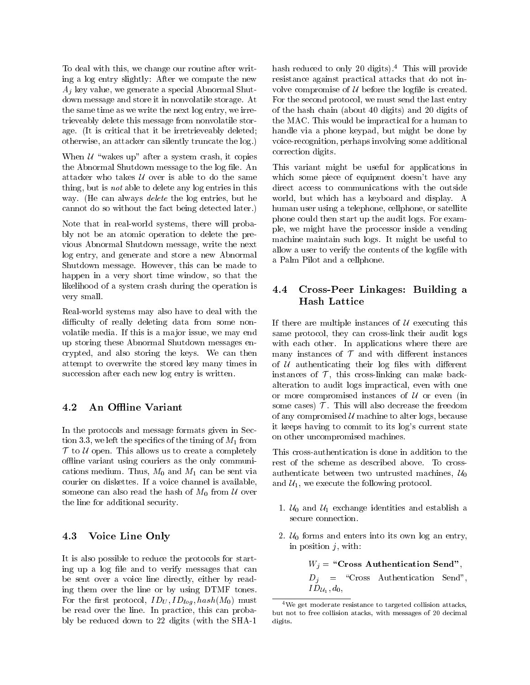To deal with this, we change our routine after writing a log entry slightly: After we compute the new  $A_j$  key value, we generate a special Abnormal Shutdown message and store it in nonvolatile storage. At the same time as we write the next log entry, we irretrieveably delete this message from nonvolatile storage. (It is critical that it be irretrieveably deleted; otherwise, an attacker can silently truncate the log.)

When  $U$  "wakes up" after a system crash, it copies the Abnormal Shutdown message to the log file. An attacker who takes  $U$  over is able to do the same thing, but is not able to delete any log entries in this way. (He can always delete the log entries, but he cannot do so without the fact being detected later.)

Note that in real-world systems, there will probably not be an atomic operation to delete the previous Abnormal Shutdown message, write the next log entry, and generate and store a new Abnormal Shutdown message. However, this can be made to happen in a very short time window, so that the likelihood of a system crash during the operation is  $4.4$ very small.

Real-world systems may also have to deal with the difficulty of really deleting data from some nonvolatile media. If this is a major issue, we may end up storing these Abnormal Shutdown messages encrypted, and also storing the keys. We can then attempt to overwrite the stored key many times in succession after each new log entry is written.

### 4.2 An Offline Variant

In the protocols and message formats given in Section 3.3, we left the specifics of the timing of  $M_1$  from  $T$  to  $U$  open. This allows us to create a completely offline variant using couriers as the only communications medium. Thus,  $M_0$  and  $M_1$  can be sent via courier on diskettes. If a voice channel is available, someone can also read the hash of  $M_0$  from U over the line for additional security.

### 4.3 Voice Line Only

It is also possible to reduce the protocols for starting up a log file and to verify messages that can be sent over a voice line directly, either by reading them over the line or by using DTMF tones. For the first protocol,  $ID_U, ID_{log}$ ,  $hash(M_0)$  must be read over the line. In practice, this can probably be reduced down to 22 digits (with the SHA-1

hash reduced to only 20 digits).<sup>4</sup> This will provide resistance against practical attacks that do not in volve compromise of  $U$  before the logfile is created. For the second protocol, we must send the last entry of the hash chain (about 40 digits) and 20 digits of the MAC. This would be impractical for a human to handle via a phone keypad, but might be done by voice-recognition, perhaps involving some additional correction digits.

This variant might be useful for applications in which some piece of equipment doesn't have any direct access to communications with the outside world, but which has a keyboard and display. A human user using a telephone, cellphone, or satellite phone could then start up the audit logs. For example, we might have the processor inside a vending machine maintain such logs. It might be useful to allow a user to verify the contents of the logfile with a Palm Pilot and a cellphone.

## 4.4 Cross-Peer Linkages: Building a Hash Lattice

If there are multiple instances of  $U$  executing this same protocol, they can cross-link their audit logs with each other. In applications where there are many instances of  $\mathcal T$  and with different instances of  $U$  authenticating their log files with different instances of  $\mathcal T$ , this cross-linking can make backalteration to audit logs impractical, even with one or more compromised instances of  $U$  or even (in some cases)  $\mathcal T$ . This will also decrease the freedom of any compromised  $U$  machine to alter logs, because it keeps having to commit to its log's current state on other uncompromised machines.

This cross-authentication is done in addition to the rest of the scheme as described above. To crossauthenticate between two untrusted machines,  $\mathcal{U}_0$ and  $\mathcal{U}_1$ , we execute the following protocol.

- 1.  $U_0$  and  $U_1$  exchange identities and establish a secure connection.
- 2.  $U_0$  forms and enters into its own log an entry, in position  $j$ , with:

 $W_j =$  "Cross Authentication Send",  $D_j = \text{``Cross}$  Authentication Send",  $ID_{\mathcal{U}_1}, d_0,$ 

<sup>4</sup>We get moderate resistance to targeted collision attacks, but not to free collision atacks, with messages of 20 decimal digits.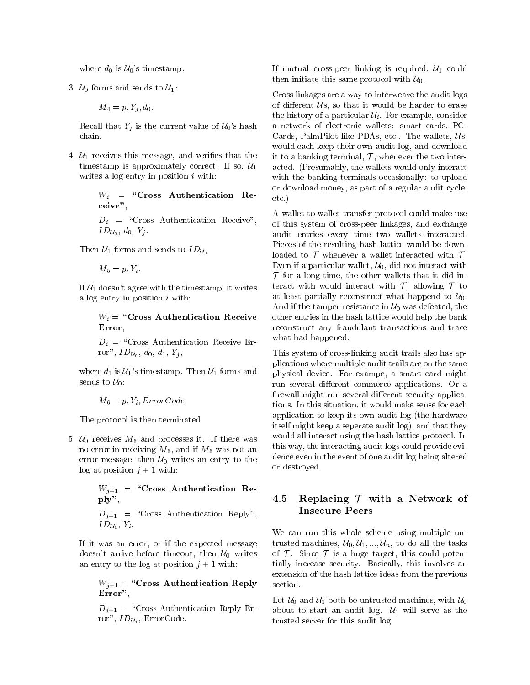where  $d_0$  is  $\mathcal{U}_0$ 's timestamp.

$$
M_4 = p, Y_j, d_0.
$$

Recall that  $Y_j$  is the current value of  $\mathcal{U}_0$ 's hash chain.

4.  $U_1$  receives this message, and verifies that the timestamp is approximately correct. If so,  $U_1$ writes a log entry in position  $i$  with:

> $W_i$  = "Cross Authentication Receive",

> $D_i = \text{``Cross\; Authentication\; Receiver''},$  $ID_{\mathcal{U}_0}, d_0, Y_j$ .

Then  $\mathcal{U}_1$  forms and sends to  $ID_{\mathcal{U}_0}$ 

 $M_5 = p, Y_i$ .

If  $U_1$  doesn't agree with the timestamp, it writes a  $log$  entry in position  $i$  with:

> $W_i =$  "Cross Authentication Receive Error. Error,

> $D_i =$  "Cross Authentication Receive Error",  $ID_{\mathcal{U}_0}, d_0, d_1, Y_i$

where  $d_1$  is  $\mathcal{U}_1$ 's timestamp. Then  $\mathcal{U}_1$  forms and sends to  $U_0$ :<br> $M_6 = p, Y_i, ErrorCode.$ 

The protocol is then terminated.

5.  $U_0$  receives  $M_6$  and processes it. If there was no error in receiving  $M_6$ , and if  $M_6$  was not an error message, then  $U_0$  writes an entry to the  $log at position j + 1 with:$ 

$$
W_{j+1} =
$$
 "Cross Authentication Re-  
ply",  

$$
D_{j+1} =
$$
 "Cross Authentication Reply",  

$$
ID_{\mathcal{U}_1}, Y_i.
$$

If it was an error, or if the expected message doesn't arrive before timeout, then  $\mathcal{U}_0$  writes an entry to the log at position  $j + 1$  with:

> $W_{i+1}$  = "Cross Authentication Reply Error",

> $D_{j+1} =$  "Cross Authentication Reply Error",  $ID_{\mathcal{U}_1}$ , ErrorCode.

If mutual cross-peer linking is required,  $U_1$  could then initiate this same protocol with  $\mathcal{U}_0$ .

Cross linkages are a way to interweave the audit logs of different  $\mathcal{U}s$ , so that it would be harder to erase the history of a particular  $\mathcal{U}_i$ . For example, consider a network of electronic wallets: smart cards, PC-Cards, PalmPilot-like PDAs, etc.. The wallets,  $Us$ . would each keep their own audit log, and download it to a banking terminal,  $\mathcal{T}$ , whenever the two interacted. (Presumably, the wallets would only interact with the banking terminals occasionally: to upload or download money, as part of a regular audit cycle, etc.)

A wallet-to-wallet transfer protocol could make use of this system of cross-peer linkages, and exchange audit entries every time two wallets interacted. Pieces of the resulting hash lattice would be downloaded to  $\mathcal T$  whenever a wallet interacted with  $\mathcal T$ . Even if a particular wallet,  $U_0$ , did not interact with  $\mathcal T$  for a long time, the other wallets that it did interact with would interact with  $\mathcal{T}$ , allowing  $\mathcal{T}$  to at least partially reconstruct what happend to  $\mathcal{U}_0$ . And if the tamper-resistance in  $\mathcal{U}_0$  was defeated, the other entries in the hash lattice would help the bank reconstruct any fraudulant transactions and trace what had happened.

This system of cross-linking audit trails also has applications where multiple audit trails are on the same physical device. For exampe, a smart card might run several different commerce applications. Or a firewall might run several different security applications. In this situation, it would make sense for each application to keep its own audit log (the hardware itself might keep a seperate audit log), and that they would all interact using the hash lattice protocol. In this way, the interacting audit logs could provide evidence even in the event of one audit log being altered or destroyed.

## 4.5 Replacing  $T$  with a Network of Insecure Peers

We can run this whole scheme using multiple untrusted machines,  $\mathcal{U}_0, \mathcal{U}_1, \ldots, \mathcal{U}_n$ , to do all the tasks of  $\mathcal T$ . Since  $\mathcal T$  is a huge target, this could potentially increase security. Basically, this involves an extension of the hash lattice ideas from the previous section.

Let  $U_0$  and  $U_1$  both be untrusted machines, with  $U_0$ about to start an audit log.  $\mathcal{U}_1$  will serve as the trusted server for this audit log.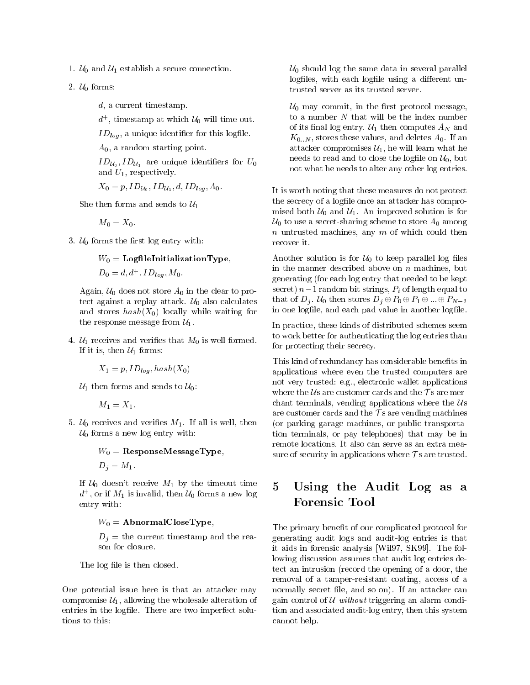- 1.  $U_0$  and  $U_1$  establish a secure connection.
- 2.  $U_0$  forms:
	- d, a current timestamp.

 $a_{\perp}$ , timestamp at which  $u_0$  will time out.

 $ID_{log}$ , a unique identifier for this logfile.

 $A_0$ , a random starting point.

 $ID_{\mathcal{U}_0}, ID_{\mathcal{U}_1}$  are unique identifiers for  $U_0$ and  $U_1$ , respectively.

 $X_0 = p$ ,  $ID_{\mathcal{U}_0}$ ,  $ID_{\mathcal{U}_1}$ ,  $d$ ,  $ID_{log}$ ,  $A_0$ .

She then forms and sends to  $\mathcal{U}_1$ 

 $M_0 = X_0$ .

3.  $U_0$  forms the first log entry with:

$$
W_0 = {\bf Log file InitializationType},
$$

$$
D_0 = d, d^+, ID_{log}, M_0.
$$

Again,  $U_0$  does not store  $A_0$  in the clear to protect against a replay attack.  $U_0$  also calculates and stores  $hash(X_0)$  locally while waiting for the response message from  $\mathcal{U}_1$ .

4.  $U_1$  receives and verifies that  $M_0$  is well formed. If it is, then  $\mathcal{U}_1$  forms:

$$
X_1 = p, ID_{log}, hash(X_0)
$$

 $U_1$  then forms and sends to  $U_0$ :<br> $M_1 = X_1$ .

5.  $U_0$  receives and verifies  $M_1$ . If all is well, then  $U_0$  forms a new log entry with:

$$
W_0
$$
 = ResponseMessageType,  
 $D_i = M_1$ .

If  $U_0$  doesn't receive  $M_1$  by the timeout time 5  $a_{\perp}$ , or if  $m_1$  is invalid, then  $u_0$  forms a new log entry with:

#### $W_0 =$  AbnormalCloseType,

 $D_i$  = the current timestamp and the reason for closure.

The log file is then closed.

One potential issue here is that an attacker may compromise  $\mathcal{U}_1$ , allowing the wholesale alteration of entries in the logfile. There are two imperfect solutions to this:

 $U_0$  should log the same data in several parallel logfiles, with each logfile using a different untrusted server as its trusted server.

 $\mathcal{U}_0$  may commit, in the first protocol message, to a number  $N$  that will be the index number of its final log entry.  $\mathcal{U}_1$  then computes  $A_N$  and  $K_{0..N}$ , stores these values, and deletes  $A_0$ . If an attacker compromises  $\mathcal{U}_1$ , he will learn what he needs to read and to close the logfile on  $\mathcal{U}_0$ , but not what he needs to alter any other log entries.

It is worth noting that these measures do not protect the secrecy of a logfile once an attacker has compromised both  $\mathcal{U}_0$  and  $\mathcal{U}_1$ . An improved solution is for  $\mathcal{U}_0$  to use a secret-sharing scheme to store  $A_0$  among  $n$  untrusted machines, any  $m$  of which could then recover it.

Another solution is for  $\mathcal{U}_0$  to keep parallel log files in the manner described above on  $n$  machines, but generating (for each log entry that needed to be kept secret)  $n-1$  random bit strings,  $P_i$  of length equal to that of  $D_j$ .  $\mathcal{U}_0$  then stores  $D_j \oplus P_0 \oplus P_1 \oplus ... \oplus P_{N-2}$ in one logfile, and each pad value in another logfile.

In practice, these kinds of distributed schemes seem to work better for authenticating the log entries than for protecting their secrecy.

This kind of redundancy has considerable benefits in applications where even the trusted computers are not very trusted: e.g., electronic wallet applications where the Us are customer cards and the  $\tau$ s are merchant terminals, vending applications where the  $\mathcal{U}s$ are customer cards and the  $\tau$ s are vending machines (or parking garage machines, or public transportation terminals, or pay telephones) that may be in remote locations. It also can serve as an extra measure of security in applications where  $\mathcal{T}$  s are trusted.

## Using the Audit Log as a Forensic Tool

The primary benefit of our complicated protocol for generating audit logs and audit-log entries is that it aids in forensic analysis [Wil97, SK99]. The following discussion assumes that audit log entries detect an intrusion (record the opening of a door, the removal of a tamper-resistant coating, access of a normally secret file, and so on). If an attacker can gain control of  $U$  without triggering an alarm condition and associated audit-log entry, then this system cannot help.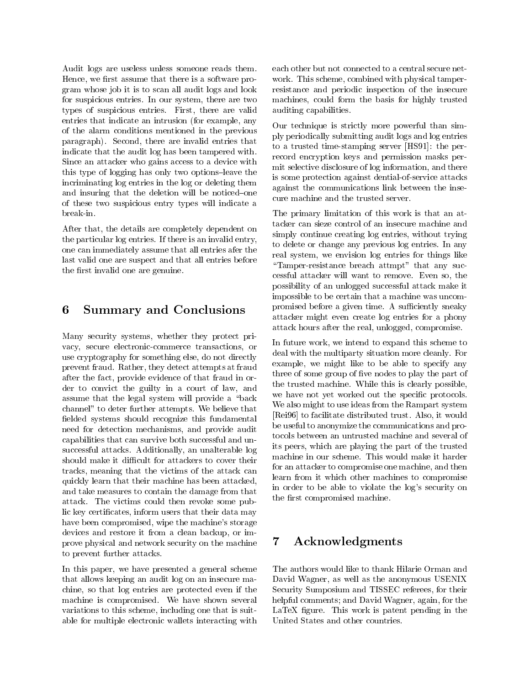Audit logs are useless unless someone reads them. Hence, we first assume that there is a software program whose job it is to scan all audit logs and look for suspicious entries. In our system, there are two types of suspicious entries. First, there are valid entries that indicate an intrusion (for example, any of the alarm conditions mentioned in the previous paragraph). Second, there are invalid entries that indicate that the audit log has been tampered with. Since an attacker who gains access to a device with this type of logging has only two options-leave the incriminating log entries in the log or deleting them and insuring that the deletion will be noticed-one of these two suspicious entry types will indicate a break-in.

After that, the details are completely dependent on the particular log entries. If there is an invalid entry, one can immediately assume that all entries afer the last valid one are suspect and that all entries before the first invalid one are genuine.

## 6 Summary and Conclusions

Many security systems, whether they protect pri vacy, secure electronic-commerce transactions, or use cryptography for something else, do not directly prevent fraud. Rather, they detect attempts at fraud after the fact, provide evidence of that fraud in order to convict the guilty in a court of law, and assume that the legal system will provide a "back channel" to deter further attempts. We believe that fielded systems should recognize this fundamental need for detection mechanisms, and provide audit capabilities that can survive both successful and unsuccessful attacks. Additionally, an unalterable log should make it difficult for attackers to cover their tracks, meaning that the victims of the attack can quickly learn that their machine has been attacked, and take measures to contain the damage from that attack. The victims could then revoke some public key certicates, inform users that their data may have been compromised, wipe the machine's storage devices and restore it from a clean backup, or improve physical and network security on the machine 7 to prevent further attacks.

In this paper, we have presented a general scheme that allows keeping an audit log on an insecure machine, so that log entries are protected even if the machine is compromised. We have shown several variations to this scheme, including one that is suitable for multiple electronic wallets interacting with each other but not connected to a central secure net work. This scheme, combined with physical tamperresistance and periodic inspection of the insecure machines, could form the basis for highly trusted auditing capabilities.

Our technique is strictly more powerful than simply periodically submitting audit logs and log entries to a trusted time-stamping server [HS91]: the perrecord encryption keys and permission masks permit selective disclosure of log information, and there is some protection against dential-of-service attacks against the communications link between the insecure machine and the trusted server.

The primary limitation of this work is that an attacker can sieze control of an insecure machine and simply continue creating log entries, without trying to delete or change any previous log entries. In any real system, we envision log entries for things like "Tamper-resistance breach attmpt" that any successful attacker will want to remove. Even so, the possibility of an unlogged successful attack make it impossible to be certain that a machine was uncompromised before a given time. A sufficiently sneaky attacker might even create log entries for a phony attack hours after the real, unlogged, compromise.

In future work, we intend to expand this scheme to deal with the multiparty situation more cleanly. For example, we might like to be able to specify any three of some group of five nodes to play the part of the trusted machine. While this is clearly possible, we have not yet worked out the specific protocols. We also might to use ideas from the Rampart system [Rei96] to facilitate distributed trust. Also, it would be useful to anonymize the communications and protocols between an untrusted machine and several of its peers, which are playing the part of the trusted machine in our scheme. This would make it harder for an attacker to compromise one machine, and then learn from it which other machines to compromise in order to be able to violate the log's security on the first compromised machine.

## Acknowledgments

The authors would like to thank Hilarie Orman and David Wagner, as well as the anonymous USENIX Security Sumposium and TISSEC referees, for their helpful comments; and David Wagner, again, for the LaTeX figure. This work is patent pending in the United States and other countries.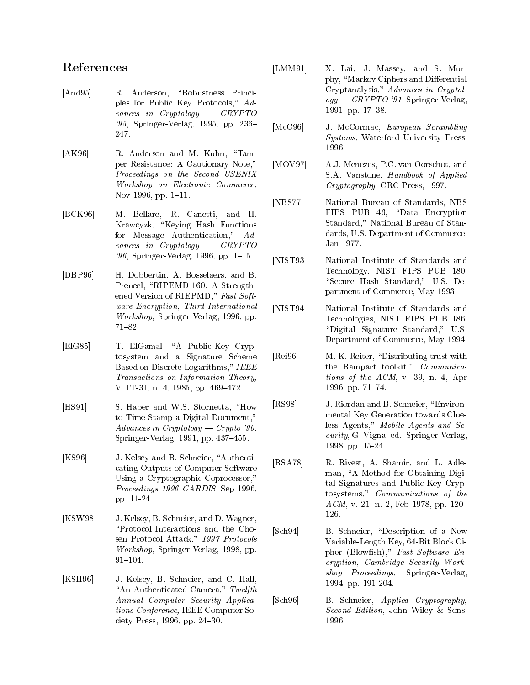## References

- [And95] R. Anderson, "Robustness Principles for Public Key Protocols," Advances in Cryptology  $-$  CRYPTO '95, Springer-Verlag, 1995, pp. 236- $\text{[McC96]}$ 247.
- [AK96] R. Anderson and M. Kuhn, "Tamper Resistance: A Cautionary Note," Proceedings on the Second USENIX Workshop on Electronic Commerce, Nov 1996, pp. 1-11.
- [BCK96] M. Bellare, R. Canetti, and H. Krawcyzk, "Keying Hash Functions for Message Authentication," Advances in  $Cryptology - CRYPTO$ '96, Springer-Verlag, 1996, pp. 1-15.
- [DBP96] H. Dobbertin, A. Bosselaers, and B. Preneel, "RIPEMD-160: A Strengthened Version of RIEPMD," Fast Software Encryption, Third International [NIST94] Workshop, Springer-Verlag, 1996, pp.  $71{-}82.$
- [ElG85] T. ElGamal, "A Public-Key Cryptosystem and a Signature Scheme Based on Discrete Logarithms," IEEE Transactions on Information Theory, V. IT-31, n. 4, 1985, pp. 469–472.
- [HS91] S. Haber and W.S. Stornetta, "How to Time Stamp a Digital Document," Advances in Cryptology — Crypto '90, Springer-Verlag,  $1991$ , pp.  $437-455$ .
- [KS96] J. Kelsey and B. Schneier, "Authenticating Outputs of Computer Software Using a Cryptographic Coprocessor," Proceedings 1996 CARDIS, Sep 1996, pp. 11-24.
- [KSW98] J. Kelsey, B. Schneier, and D. Wagner, \Protocol Interactions and the Chosen Protocol Attack," 1997 Protocols Workshop, Springer-Verlag, 1998, pp.  $91{-}104.$
- [KSH96] J. Kelsey, B. Schneier, and C. Hall, "An Authenticated Camera,"  $Twelfth$ Annual Computer Security Applications Conference, IEEE Computer Society Press,  $1996$ , pp.  $24–30$ .
- [LMM91] X. Lai, J. Massey, and S. Murphy, "Markov Ciphers and Differential Cryptanalysis," Advances in Cryptol $ogy - CRYPTO$  '91, Springer-Verlag, 1991, pp. 17-38.
- J. McCormac, European Scrambling Systems, Waterford University Press, 1996.
- A.J. Menezes, P.C. van Oorschot, and S.A. Vanstone, Handbook of Applied Cryptography, CRC Press, 1997.
- [NBS77] National Bureau of Standards, NBS FIPS PUB 46, "Data Encryption Standard," National Bureau of Standards, U.S. Department of Commerce, Jan 1977.
- [NIST93] National Institute of Standards and Technology, NIST FIPS PUB 180, "Secure Hash Standard," U.S. Department of Commerce, May 1993.
- National Institute of Standards and Technologies, NIST FIPS PUB 186, "Digital Signature Standard," U.S. Department of Commerce, May 1994.
- M. K. Reiter, "Distributing trust with the Rampart toolkit," Communications of the ACM, v. 39, n. 4, Apr 1996, pp. 71-74.
- [RS98] J. Riordan and B. Schneier, "Environmental Key Generation towards Clueless Agents," Mobile Agents and Security, G. Vigna, ed., Springer-Verlag, 1998, pp. 15-24.
- [RSA78] R. Rivest, A. Shamir, and L. Adleman, "A Method for Obtaining Digital Signatures and Public-Key Cryptosystems," Communications of the  $ACM$ , v. 21, n. 2, Feb 1978, pp. 120– 126.
- [Sch94] B. Schneier, "Description of a New Variable-Length Key, 64-Bit Block Cipher (Blowfish)," Fast Software Encryption, Cambridge Security Workshop Proceedings, Springer-Verlag, 1994, pp. 191-204.
- [Sch96] B. Schneier, Applied Cryptography, Second Edition, John Wiley & Sons, 1996.